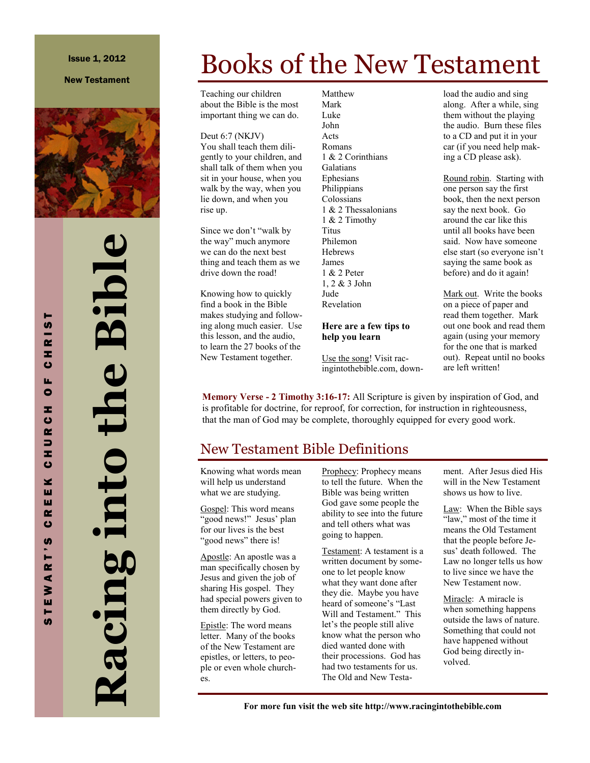### Issue 1, 2012

### New Testament



# **Racing into the Bible** Racing into the Bible

# Books of the New Testament

Teaching our children about the Bible is the most important thing we can do.

Deut 6:7 (NKJV) You shall teach them diligently to your children, and shall talk of them when you sit in your house, when you walk by the way, when you lie down, and when you rise up.

Since we don't "walk by the way" much anymore we can do the next best thing and teach them as we drive down the road!

Knowing how to quickly find a book in the Bible makes studying and following along much easier. Use this lesson, and the audio, to learn the 27 books of the New Testament together.

Matthew Mark Luke John Acts Romans 1 & 2 Corinthians Galatians Ephesians Philippians Colossians 1 & 2 Thessalonians 1 & 2 Timothy Titus Philemon **Hebrews** James 1 & 2 Peter 1, 2 & 3 John Jude Revelation

### **Here are a few tips to help you learn**

Use the song! Visit racingintothebible.com, download the audio and sing along. After a while, sing them without the playing the audio. Burn these files to a CD and put it in your car (if you need help making a CD please ask).

Round robin. Starting with one person say the first book, then the next person say the next book. Go around the car like this until all books have been said. Now have someone else start (so everyone isn't saying the same book as before) and do it again!

Mark out. Write the books on a piece of paper and read them together. Mark out one book and read them again (using your memory for the one that is marked out). Repeat until no books are left written!

**Memory Verse - 2 Timothy 3:16-17:** All Scripture is given by inspiration of God, and is profitable for doctrine, for reproof, for correction, for instruction in righteousness, that the man of God may be complete, thoroughly equipped for every good work.

## New Testament Bible Definitions

Knowing what words mean will help us understand what we are studying.

Gospel: This word means 'good news!" Jesus' plan for our lives is the best "good news" there is!

Apostle: An apostle was a man specifically chosen by Jesus and given the job of sharing His gospel. They had special powers given to them directly by God.

Epistle: The word means letter. Many of the books of the New Testament are epistles, or letters, to people or even whole churches.

Prophecy: Prophecy means to tell the future. When the Bible was being written God gave some people the ability to see into the future and tell others what was going to happen.

Testament: A testament is a written document by someone to let people know what they want done after they die. Maybe you have heard of someone's "Last Will and Testament." This let's the people still alive know what the person who died wanted done with their processions. God has had two testaments for us. The Old and New Testament. After Jesus died His will in the New Testament shows us how to live.

Law: When the Bible says "law," most of the time it means the Old Testament that the people before Jesus' death followed. The Law no longer tells us how to live since we have the New Testament now.

Miracle: A miracle is when something happens outside the laws of nature. Something that could not have happened without God being directly involved.

**For more fun visit the web site http://www.racingintothebible.com**